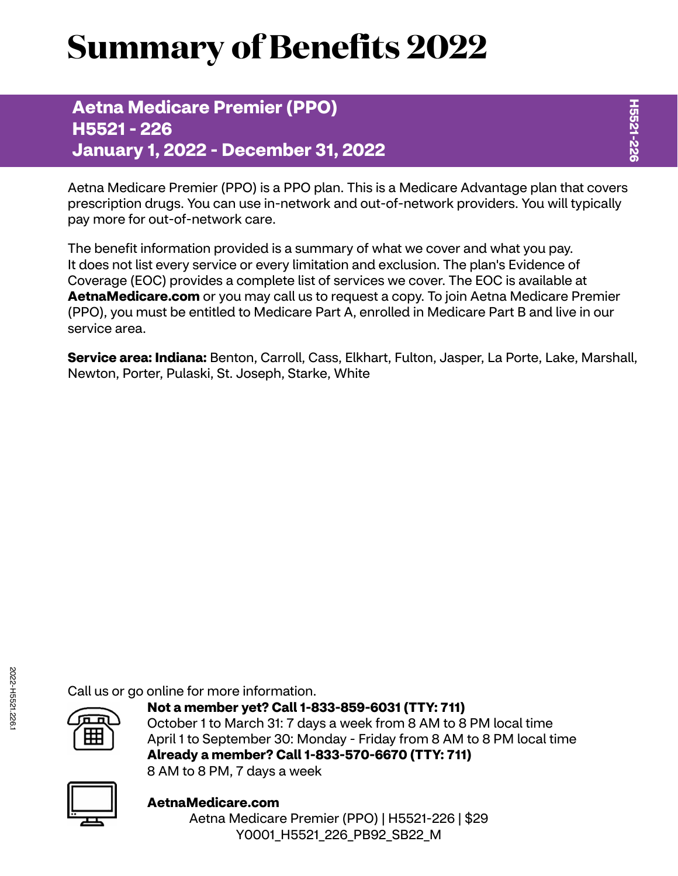# **Summary of Benefits 2022**

**Aetna Medicare Premier (PPO) H5521 - 226 January 1, 2022 - December 31, 2022**

Aetna Medicare Premier (PPO) is a PPO plan. This is a Medicare Advantage plan that covers prescription drugs. You can use in-network and out-of-network providers. You will typically pay more for out-of-network care.

The benefit information provided is a summary of what we cover and what you pay. It does not list every service or every limitation and exclusion. The plan's Evidence of Coverage (EOC) provides a complete list of services we cover. The EOC is available at **[AetnaMedicare.com](http://AetnaMedicare.com)** or you may call us to request a copy. To join Aetna Medicare Premier (PPO), you must be entitled to Medicare Part A, enrolled in Medicare Part B and live in our service area.

**Service area: Indiana:** Benton, Carroll, Cass, Elkhart, Fulton, Jasper, La Porte, Lake, Marshall, Newton, Porter, Pulaski, St. Joseph, Starke, White

Call us or go online for more information.



**Not a member yet? Call 1-833-859-6031 (TTY: 711)** October 1 to March 31: 7 days a week from 8 AM to 8 PM local time April 1 to September 30: Monday - Friday from 8 AM to 8 PM local time **Already a member? Call 1-833-570-6670 (TTY: 711)** 8 AM to 8 PM, 7 days a week



**[AetnaMedicare.com](http://AetnaMedicare.com)** Aetna Medicare Premier (PPO) | H5521-226 | \$29 Y0001\_H5521\_226\_PB92\_SB22\_M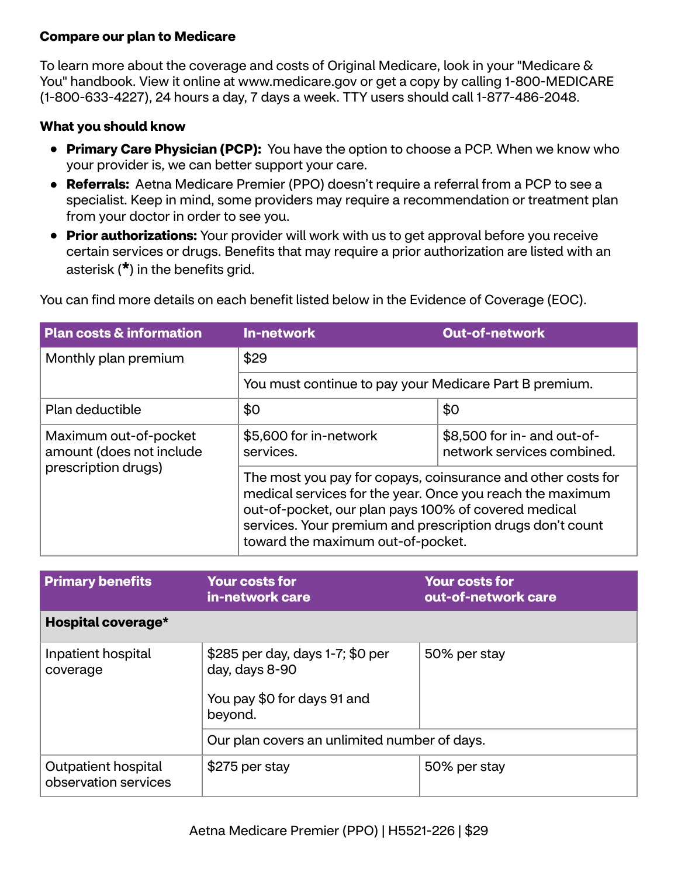## **Compare our plan to Medicare**

To learn more about the coverage and costs of Original Medicare, look in your "Medicare & You" handbook. View it online at<www.medicare.gov>or get a copy by calling 1-800-MEDICARE (1-800-633-4227), 24 hours a day, 7 days a week. TTY users should call 1-877-486-2048.

### **What you should know**

- **Primary Care Physician (PCP):** You have the option to choose a PCP. When we know who your provider is, we can better support your care.
- **Referrals:** Aetna Medicare Premier (PPO) doesn't require a referral from a PCP to see a specialist. Keep in mind, some providers may require a recommendation or treatment plan from your doctor in order to see you.
- **Prior authorizations:** Your provider will work with us to get approval before you receive certain services or drugs. Benefits that may require a prior authorization are listed with an asterisk (**\***) in the benefits grid.

| <b>Plan costs &amp; information</b>                                      | In-network                                                                                                                                                                                                                                                                          | <b>Out-of-network</b>                                     |  |
|--------------------------------------------------------------------------|-------------------------------------------------------------------------------------------------------------------------------------------------------------------------------------------------------------------------------------------------------------------------------------|-----------------------------------------------------------|--|
| Monthly plan premium                                                     | \$29<br>You must continue to pay your Medicare Part B premium.                                                                                                                                                                                                                      |                                                           |  |
|                                                                          |                                                                                                                                                                                                                                                                                     |                                                           |  |
| Plan deductible                                                          | \$0<br>\$0                                                                                                                                                                                                                                                                          |                                                           |  |
| Maximum out-of-pocket<br>amount (does not include<br>prescription drugs) | \$5,600 for in-network<br>services.                                                                                                                                                                                                                                                 | \$8,500 for in- and out-of-<br>network services combined. |  |
|                                                                          | The most you pay for copays, coinsurance and other costs for<br>medical services for the year. Once you reach the maximum<br>out-of-pocket, our plan pays 100% of covered medical<br>services. Your premium and prescription drugs don't count<br>toward the maximum out-of-pocket. |                                                           |  |

You can find more details on each benefit listed below in the Evidence of Coverage (EOC).

| <b>Primary benefits</b>                     | <b>Your costs for</b><br>in-network care                                                     | <b>Your costs for</b><br>out-of-network care |
|---------------------------------------------|----------------------------------------------------------------------------------------------|----------------------------------------------|
| Hospital coverage*                          |                                                                                              |                                              |
| Inpatient hospital<br>coverage              | \$285 per day, days 1-7; \$0 per<br>day, days 8-90<br>You pay \$0 for days 91 and<br>beyond. | 50% per stay                                 |
|                                             | Our plan covers an unlimited number of days.                                                 |                                              |
| Outpatient hospital<br>observation services | \$275 per stay                                                                               | 50% per stay                                 |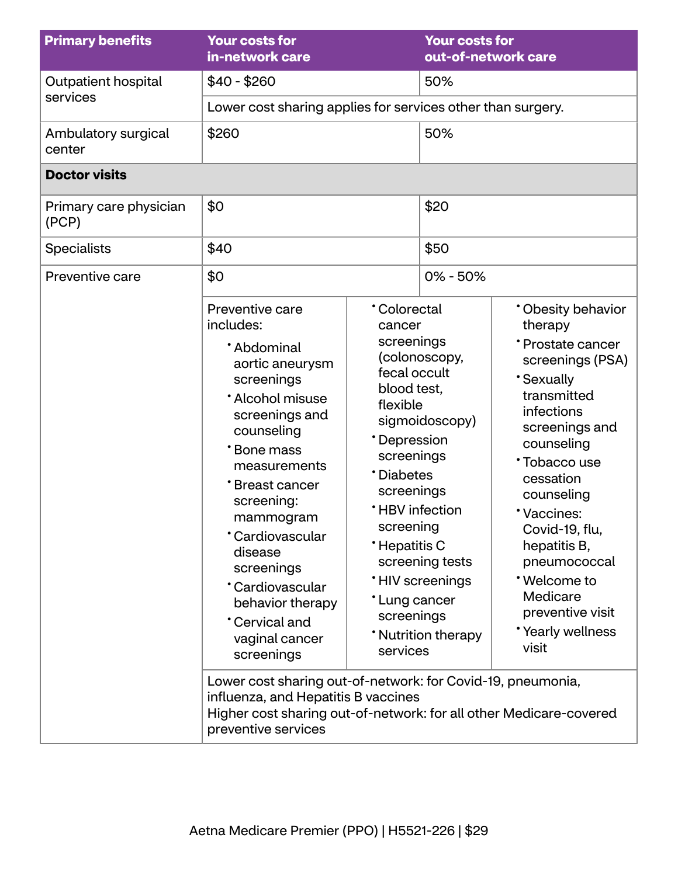| <b>Primary benefits</b>         | <b>Your costs for</b><br>in-network care                                                                                                                                                                                                                                                                                                                                                                                                                                                                                                         |                                                                                                                                                                                                                                              | <b>Your costs for</b><br>out-of-network care                                                       |                                                                                                                                                                                                                                                                                                                                               |
|---------------------------------|--------------------------------------------------------------------------------------------------------------------------------------------------------------------------------------------------------------------------------------------------------------------------------------------------------------------------------------------------------------------------------------------------------------------------------------------------------------------------------------------------------------------------------------------------|----------------------------------------------------------------------------------------------------------------------------------------------------------------------------------------------------------------------------------------------|----------------------------------------------------------------------------------------------------|-----------------------------------------------------------------------------------------------------------------------------------------------------------------------------------------------------------------------------------------------------------------------------------------------------------------------------------------------|
| Outpatient hospital             | $$40 - $260$                                                                                                                                                                                                                                                                                                                                                                                                                                                                                                                                     |                                                                                                                                                                                                                                              | 50%                                                                                                |                                                                                                                                                                                                                                                                                                                                               |
| services                        | Lower cost sharing applies for services other than surgery.                                                                                                                                                                                                                                                                                                                                                                                                                                                                                      |                                                                                                                                                                                                                                              |                                                                                                    |                                                                                                                                                                                                                                                                                                                                               |
| Ambulatory surgical<br>center   | \$260                                                                                                                                                                                                                                                                                                                                                                                                                                                                                                                                            |                                                                                                                                                                                                                                              | 50%                                                                                                |                                                                                                                                                                                                                                                                                                                                               |
| <b>Doctor visits</b>            |                                                                                                                                                                                                                                                                                                                                                                                                                                                                                                                                                  |                                                                                                                                                                                                                                              |                                                                                                    |                                                                                                                                                                                                                                                                                                                                               |
| Primary care physician<br>(PCP) | \$0                                                                                                                                                                                                                                                                                                                                                                                                                                                                                                                                              |                                                                                                                                                                                                                                              | \$20                                                                                               |                                                                                                                                                                                                                                                                                                                                               |
| <b>Specialists</b>              | \$40                                                                                                                                                                                                                                                                                                                                                                                                                                                                                                                                             |                                                                                                                                                                                                                                              | \$50                                                                                               |                                                                                                                                                                                                                                                                                                                                               |
| Preventive care                 | \$0                                                                                                                                                                                                                                                                                                                                                                                                                                                                                                                                              |                                                                                                                                                                                                                                              | $0\% - 50\%$                                                                                       |                                                                                                                                                                                                                                                                                                                                               |
|                                 | Preventive care<br>includes:<br>*Abdominal<br>aortic aneurysm<br>screenings<br>* Alcohol misuse<br>screenings and<br>counseling<br>*Bone mass<br>measurements<br>*Breast cancer<br>screening:<br>mammogram<br>*Cardiovascular<br>disease<br>screenings<br>*Cardiovascular<br>behavior therapy<br>Cervical and<br>vaginal cancer<br>screenings<br>Lower cost sharing out-of-network: for Covid-19, pneumonia,<br>influenza, and Hepatitis B vaccines<br>Higher cost sharing out-of-network: for all other Medicare-covered<br>preventive services | <b>Colorectal</b><br>cancer<br>screenings<br>fecal occult<br>blood test,<br>flexible<br>*Depression<br>screenings<br>*Diabetes<br>screenings<br><b>*HBV</b> infection<br>screening<br>*Hepatitis C<br>*Lung cancer<br>screenings<br>services | (colonoscopy,<br>sigmoidoscopy)<br>screening tests<br><b>HIV</b> screenings<br>* Nutrition therapy | * Obesity behavior<br>therapy<br>* Prostate cancer<br>screenings (PSA)<br><b>Sexually</b><br>transmitted<br>infections<br>screenings and<br>counseling<br>*Tobacco use<br>cessation<br>counseling<br>*Vaccines:<br>Covid-19, flu,<br>hepatitis B,<br>pneumococcal<br>*Welcome to<br>Medicare<br>preventive visit<br>*Yearly wellness<br>visit |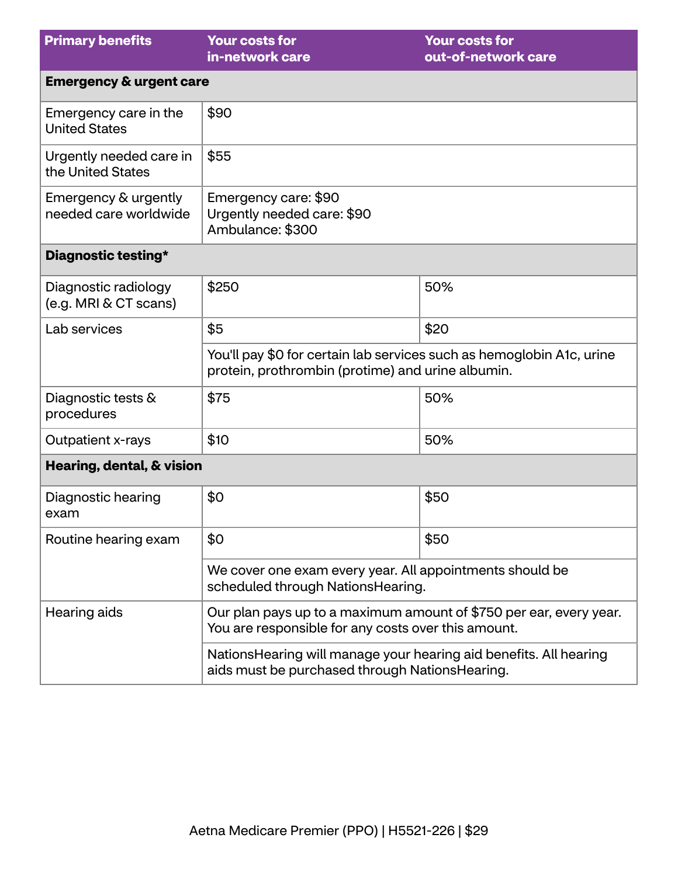| <b>Primary benefits</b>                       | <b>Your costs for</b><br>in-network care                                                                                   | <b>Your costs for</b><br>out-of-network care |  |
|-----------------------------------------------|----------------------------------------------------------------------------------------------------------------------------|----------------------------------------------|--|
| <b>Emergency &amp; urgent care</b>            |                                                                                                                            |                                              |  |
| Emergency care in the<br><b>United States</b> | \$90                                                                                                                       |                                              |  |
| Urgently needed care in<br>the United States  | \$55                                                                                                                       |                                              |  |
| Emergency & urgently<br>needed care worldwide | Emergency care: \$90<br>Urgently needed care: \$90<br>Ambulance: \$300                                                     |                                              |  |
| Diagnostic testing*                           |                                                                                                                            |                                              |  |
| Diagnostic radiology<br>(e.g. MRI & CT scans) | \$250                                                                                                                      | 50%                                          |  |
| Lab services                                  | \$5                                                                                                                        | \$20                                         |  |
|                                               | You'll pay \$0 for certain lab services such as hemoglobin A1c, urine<br>protein, prothrombin (protime) and urine albumin. |                                              |  |
| Diagnostic tests &<br>procedures              | \$75                                                                                                                       | 50%                                          |  |
| Outpatient x-rays                             | \$10                                                                                                                       | 50%                                          |  |
| Hearing, dental, & vision                     |                                                                                                                            |                                              |  |
| Diagnostic hearing<br>exam                    | \$0                                                                                                                        | \$50                                         |  |
| Routine hearing exam                          | \$0                                                                                                                        | \$50                                         |  |
|                                               | We cover one exam every year. All appointments should be<br>scheduled through NationsHearing.                              |                                              |  |
| Hearing aids                                  | Our plan pays up to a maximum amount of \$750 per ear, every year.<br>You are responsible for any costs over this amount.  |                                              |  |
|                                               | Nations Hearing will manage your hearing aid benefits. All hearing<br>aids must be purchased through NationsHearing.       |                                              |  |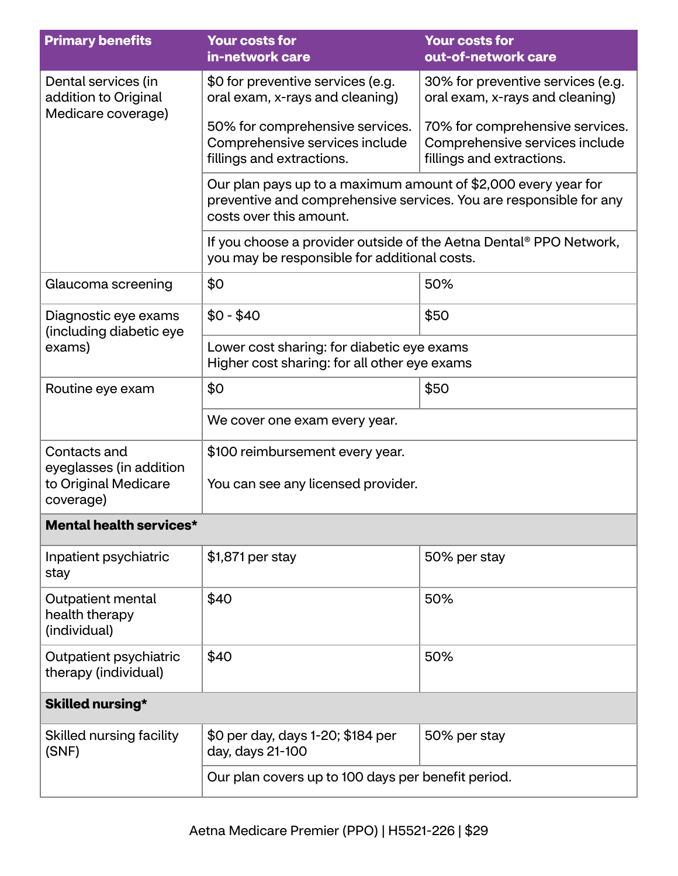| <b>Primary benefits</b>                                                      | <b>Your costs for</b><br>in-network care                                                                                                                        | <b>Your costs for</b><br>out-of-network care                                                   |  |
|------------------------------------------------------------------------------|-----------------------------------------------------------------------------------------------------------------------------------------------------------------|------------------------------------------------------------------------------------------------|--|
| Dental services (in<br>addition to Original<br>Medicare coverage)            | \$0 for preventive services (e.g.<br>oral exam, x-rays and cleaning)                                                                                            | 30% for preventive services (e.g.<br>oral exam, x-rays and cleaning)                           |  |
|                                                                              | 50% for comprehensive services.<br>Comprehensive services include<br>fillings and extractions.                                                                  | 70% for comprehensive services.<br>Comprehensive services include<br>fillings and extractions. |  |
|                                                                              | Our plan pays up to a maximum amount of \$2,000 every year for<br>preventive and comprehensive services. You are responsible for any<br>costs over this amount. |                                                                                                |  |
|                                                                              | If you choose a provider outside of the Aetna Dental® PPO Network,<br>you may be responsible for additional costs.                                              |                                                                                                |  |
| Glaucoma screening                                                           | \$0                                                                                                                                                             | 50%                                                                                            |  |
| Diagnostic eye exams<br>(including diabetic eye                              | $$0 - $40$                                                                                                                                                      | \$50                                                                                           |  |
| exams)                                                                       | Lower cost sharing: for diabetic eye exams<br>Higher cost sharing: for all other eye exams                                                                      |                                                                                                |  |
| Routine eye exam                                                             | \$0                                                                                                                                                             | \$50                                                                                           |  |
|                                                                              | We cover one exam every year.                                                                                                                                   |                                                                                                |  |
| Contacts and<br>eyeglasses (in addition<br>to Original Medicare<br>coverage) | \$100 reimbursement every year.<br>You can see any licensed provider.                                                                                           |                                                                                                |  |
| <b>Mental health services*</b>                                               |                                                                                                                                                                 |                                                                                                |  |
| Inpatient psychiatric<br>stay                                                | \$1,871 per stay                                                                                                                                                | 50% per stay                                                                                   |  |
| Outpatient mental<br>health therapy<br>(individual)                          | \$40                                                                                                                                                            | 50%                                                                                            |  |
| Outpatient psychiatric<br>therapy (individual)                               | \$40                                                                                                                                                            | 50%                                                                                            |  |
| Skilled nursing*                                                             |                                                                                                                                                                 |                                                                                                |  |
| Skilled nursing facility<br>(SNF)                                            | \$0 per day, days 1-20; \$184 per<br>day, days 21-100                                                                                                           | 50% per stay                                                                                   |  |
|                                                                              | Our plan covers up to 100 days per benefit period.                                                                                                              |                                                                                                |  |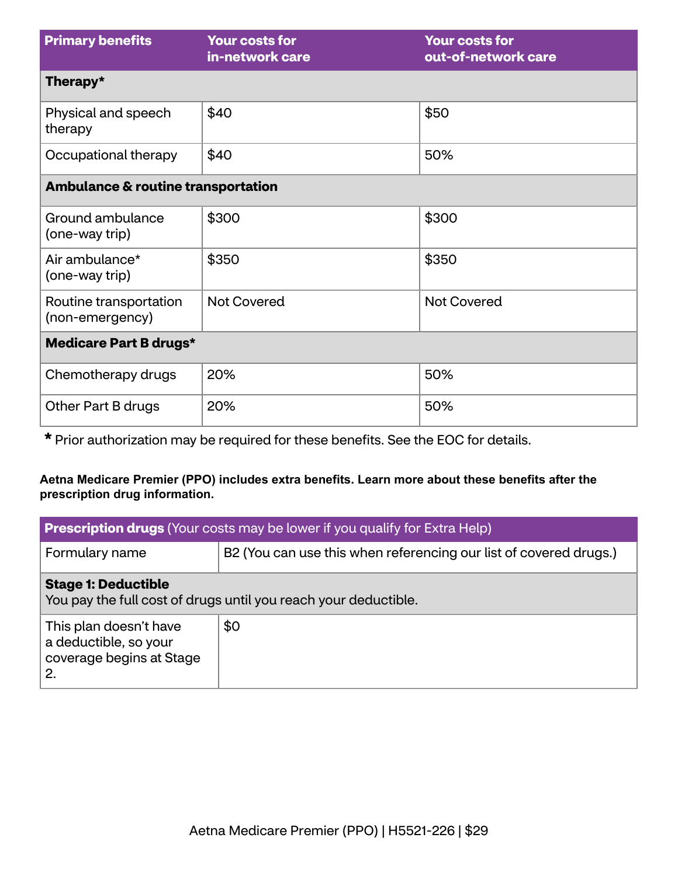| <b>Primary benefits</b>                       | <b>Your costs for</b><br>in-network care | <b>Your costs for</b><br>out-of-network care |  |
|-----------------------------------------------|------------------------------------------|----------------------------------------------|--|
| Therapy*                                      |                                          |                                              |  |
| Physical and speech<br>therapy                | \$40                                     | \$50                                         |  |
| Occupational therapy                          | \$40                                     | 50%                                          |  |
| <b>Ambulance &amp; routine transportation</b> |                                          |                                              |  |
| Ground ambulance<br>(one-way trip)            | \$300                                    | \$300                                        |  |
| Air ambulance*<br>(one-way trip)              | \$350                                    | \$350                                        |  |
| Routine transportation<br>(non-emergency)     | <b>Not Covered</b>                       | <b>Not Covered</b>                           |  |
| <b>Medicare Part B drugs*</b>                 |                                          |                                              |  |
| Chemotherapy drugs                            | 20%                                      | 50%                                          |  |
| Other Part B drugs                            | 20%                                      | 50%                                          |  |

**\*** Prior authorization may be required for these benefits. See the EOC for details.

### **Aetna Medicare Premier (PPO) includes extra benefits. Learn more about these benefits after the prescription drug information.**

| <b>Prescription drugs</b> (Your costs may be lower if you qualify for Extra Help)             |                                                                   |  |
|-----------------------------------------------------------------------------------------------|-------------------------------------------------------------------|--|
| Formulary name                                                                                | B2 (You can use this when referencing our list of covered drugs.) |  |
| <b>Stage 1: Deductible</b><br>You pay the full cost of drugs until you reach your deductible. |                                                                   |  |
| This plan doesn't have<br>a deductible, so your<br>coverage begins at Stage<br>2.             | \$0                                                               |  |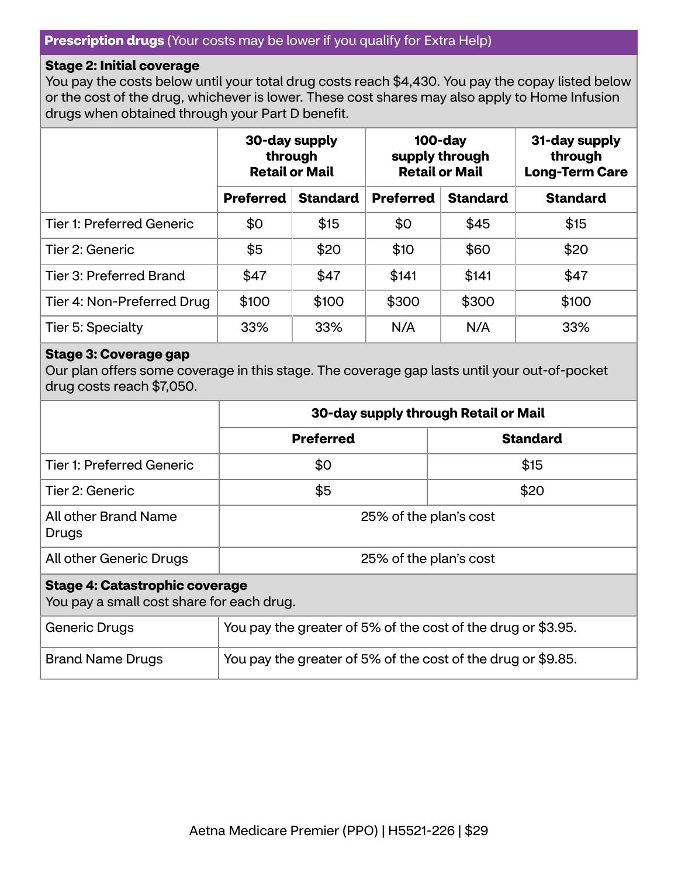#### **Prescription drugs** (Your costs may be lower if you qualify for Extra Help)

#### **Stage 2: Initial coverage**

You pay the costs below until your total drug costs reach \$4,430. You pay the copay listed below or the cost of the drug, whichever is lower. These cost shares may also apply to Home Infusion drugs when obtained through your Part D benefit.

|                                  | 30-day supply<br>through<br><b>Retail or Mail</b> |                 | $100$ -day<br>supply through<br><b>Retail or Mail</b> |                 | 31-day supply<br>through<br><b>Long-Term Care</b> |
|----------------------------------|---------------------------------------------------|-----------------|-------------------------------------------------------|-----------------|---------------------------------------------------|
|                                  | <b>Preferred</b>                                  | <b>Standard</b> | <b>Preferred</b>                                      | <b>Standard</b> | <b>Standard</b>                                   |
| <b>Tier 1: Preferred Generic</b> | \$0                                               | \$15            | \$0                                                   | \$45            | \$15                                              |
| Tier 2: Generic                  | \$5                                               | \$20            | \$10                                                  | \$60            | \$20                                              |
| Tier 3: Preferred Brand          | \$47                                              | \$47            | \$141                                                 | \$141           | \$47                                              |
| Tier 4: Non-Preferred Drug       | \$100                                             | \$100           | \$300                                                 | \$300           | \$100                                             |
| Tier 5: Specialty                | 33%                                               | 33%             | N/A                                                   | N/A             | 33%                                               |

#### **Stage 3: Coverage gap**

Our plan offers some coverage in this stage. The coverage gap lasts until your out-of-pocket drug costs reach \$7,050.

|                                                                                    | 30-day supply through Retail or Mail                         |                 |  |
|------------------------------------------------------------------------------------|--------------------------------------------------------------|-----------------|--|
|                                                                                    | <b>Preferred</b>                                             | <b>Standard</b> |  |
| <b>Tier 1: Preferred Generic</b>                                                   | \$0                                                          | \$15            |  |
| Tier 2: Generic                                                                    | \$5<br>\$20                                                  |                 |  |
| All other Brand Name<br>Drugs                                                      | 25% of the plan's cost                                       |                 |  |
| All other Generic Drugs                                                            | 25% of the plan's cost                                       |                 |  |
| <b>Stage 4: Catastrophic coverage</b><br>You pay a small cost share for each drug. |                                                              |                 |  |
| Generic Drugs                                                                      | You pay the greater of 5% of the cost of the drug or \$3.95. |                 |  |

Brand Name Drugs  $\vert$  You pay the greater of 5% of the cost of the drug or \$9.85.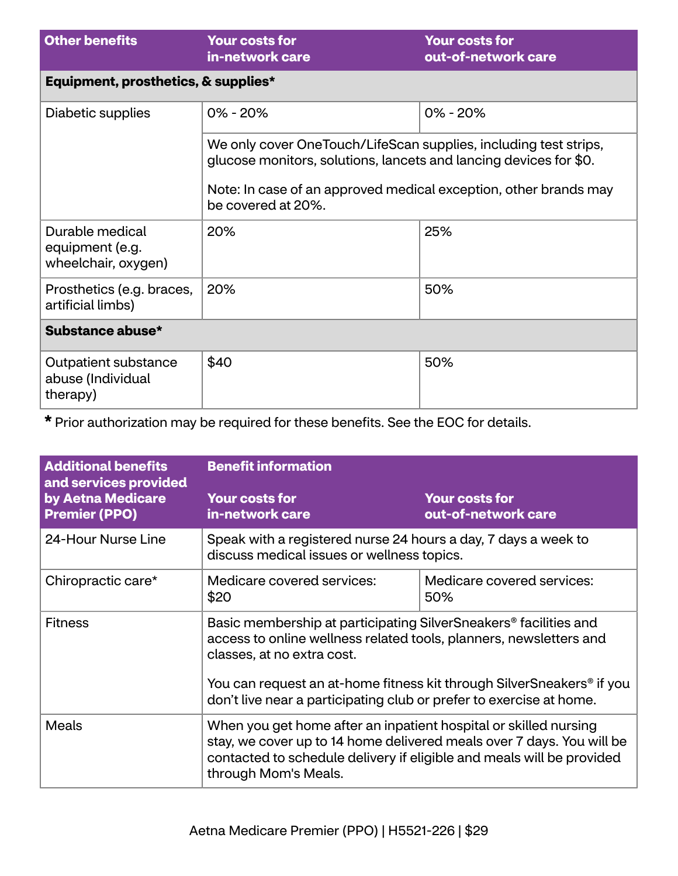| <b>Other benefits</b>                                     | <b>Your costs for</b><br>in-network care                                                                                                                                                                                        | <b>Your costs for</b><br>out-of-network care |  |
|-----------------------------------------------------------|---------------------------------------------------------------------------------------------------------------------------------------------------------------------------------------------------------------------------------|----------------------------------------------|--|
| Equipment, prosthetics, & supplies*                       |                                                                                                                                                                                                                                 |                                              |  |
| Diabetic supplies                                         | $0\% - 20\%$                                                                                                                                                                                                                    | $0\% - 20\%$                                 |  |
|                                                           | We only cover OneTouch/LifeScan supplies, including test strips,<br>glucose monitors, solutions, lancets and lancing devices for \$0.<br>Note: In case of an approved medical exception, other brands may<br>be covered at 20%. |                                              |  |
| Durable medical<br>equipment (e.g.<br>wheelchair, oxygen) | 20%                                                                                                                                                                                                                             | 25%                                          |  |
| Prosthetics (e.g. braces,<br>artificial limbs)            | 20%                                                                                                                                                                                                                             | 50%                                          |  |
| Substance abuse*                                          |                                                                                                                                                                                                                                 |                                              |  |
| Outpatient substance<br>abuse (Individual<br>therapy)     | \$40                                                                                                                                                                                                                            | 50%                                          |  |

**\*** Prior authorization may be required for these benefits. See the EOC for details.

| <b>Additional benefits</b><br>and services provided | <b>Benefit information</b>                                                                                                                                                                                                                 |                                              |  |
|-----------------------------------------------------|--------------------------------------------------------------------------------------------------------------------------------------------------------------------------------------------------------------------------------------------|----------------------------------------------|--|
| by Aetna Medicare<br><b>Premier (PPO)</b>           | <b>Your costs for</b><br>in-network care                                                                                                                                                                                                   | <b>Your costs for</b><br>out-of-network care |  |
| 24-Hour Nurse Line                                  | Speak with a registered nurse 24 hours a day, 7 days a week to<br>discuss medical issues or wellness topics.                                                                                                                               |                                              |  |
| Chiropractic care*                                  | Medicare covered services:<br>\$20                                                                                                                                                                                                         | Medicare covered services:<br>50%            |  |
| <b>Fitness</b>                                      | Basic membership at participating SilverSneakers <sup>®</sup> facilities and<br>access to online wellness related tools, planners, newsletters and<br>classes, at no extra cost.                                                           |                                              |  |
|                                                     | You can request an at-home fitness kit through SilverSneakers® if you<br>don't live near a participating club or prefer to exercise at home.                                                                                               |                                              |  |
| Meals                                               | When you get home after an inpatient hospital or skilled nursing<br>stay, we cover up to 14 home delivered meals over 7 days. You will be<br>contacted to schedule delivery if eligible and meals will be provided<br>through Mom's Meals. |                                              |  |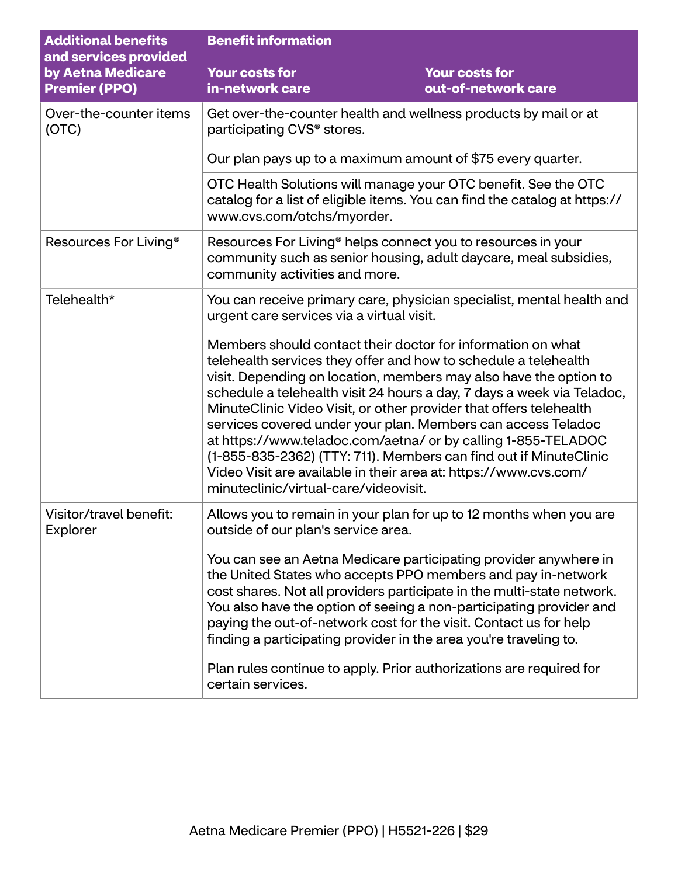| <b>Additional benefits</b><br>and services provided | <b>Benefit information</b>                                                                                                                                                                                                                                                                                                                                                                                                                                                                                                                                                                                                                                             |                                              |  |
|-----------------------------------------------------|------------------------------------------------------------------------------------------------------------------------------------------------------------------------------------------------------------------------------------------------------------------------------------------------------------------------------------------------------------------------------------------------------------------------------------------------------------------------------------------------------------------------------------------------------------------------------------------------------------------------------------------------------------------------|----------------------------------------------|--|
| by Aetna Medicare<br><b>Premier (PPO)</b>           | <b>Your costs for</b><br>in-network care                                                                                                                                                                                                                                                                                                                                                                                                                                                                                                                                                                                                                               | <b>Your costs for</b><br>out-of-network care |  |
| Over-the-counter items<br>(OTC)                     | Get over-the-counter health and wellness products by mail or at<br>participating CVS <sup>®</sup> stores.                                                                                                                                                                                                                                                                                                                                                                                                                                                                                                                                                              |                                              |  |
|                                                     | Our plan pays up to a maximum amount of \$75 every quarter.                                                                                                                                                                                                                                                                                                                                                                                                                                                                                                                                                                                                            |                                              |  |
|                                                     | OTC Health Solutions will manage your OTC benefit. See the OTC<br>catalog for a list of eligible items. You can find the catalog at https://<br>www.cvs.com/otchs/myorder.                                                                                                                                                                                                                                                                                                                                                                                                                                                                                             |                                              |  |
| Resources For Living <sup>®</sup>                   | Resources For Living <sup>®</sup> helps connect you to resources in your<br>community such as senior housing, adult daycare, meal subsidies,<br>community activities and more.                                                                                                                                                                                                                                                                                                                                                                                                                                                                                         |                                              |  |
| Telehealth*                                         | You can receive primary care, physician specialist, mental health and<br>urgent care services via a virtual visit.                                                                                                                                                                                                                                                                                                                                                                                                                                                                                                                                                     |                                              |  |
|                                                     | Members should contact their doctor for information on what<br>telehealth services they offer and how to schedule a telehealth<br>visit. Depending on location, members may also have the option to<br>schedule a telehealth visit 24 hours a day, 7 days a week via Teladoc,<br>MinuteClinic Video Visit, or other provider that offers telehealth<br>services covered under your plan. Members can access Teladoc<br>at https://www.teladoc.com/aetna/ or by calling 1-855-TELADOC<br>(1-855-835-2362) (TTY: 711). Members can find out if MinuteClinic<br>Video Visit are available in their area at: https://www.cvs.com/<br>minuteclinic/virtual-care/videovisit. |                                              |  |
| Visitor/travel benefit:<br>Explorer                 | Allows you to remain in your plan for up to 12 months when you are<br>outside of our plan's service area.                                                                                                                                                                                                                                                                                                                                                                                                                                                                                                                                                              |                                              |  |
|                                                     | You can see an Aetna Medicare participating provider anywhere in<br>the United States who accepts PPO members and pay in-network<br>cost shares. Not all providers participate in the multi-state network.<br>You also have the option of seeing a non-participating provider and<br>paying the out-of-network cost for the visit. Contact us for help<br>finding a participating provider in the area you're traveling to.                                                                                                                                                                                                                                            |                                              |  |
|                                                     | Plan rules continue to apply. Prior authorizations are required for<br>certain services.                                                                                                                                                                                                                                                                                                                                                                                                                                                                                                                                                                               |                                              |  |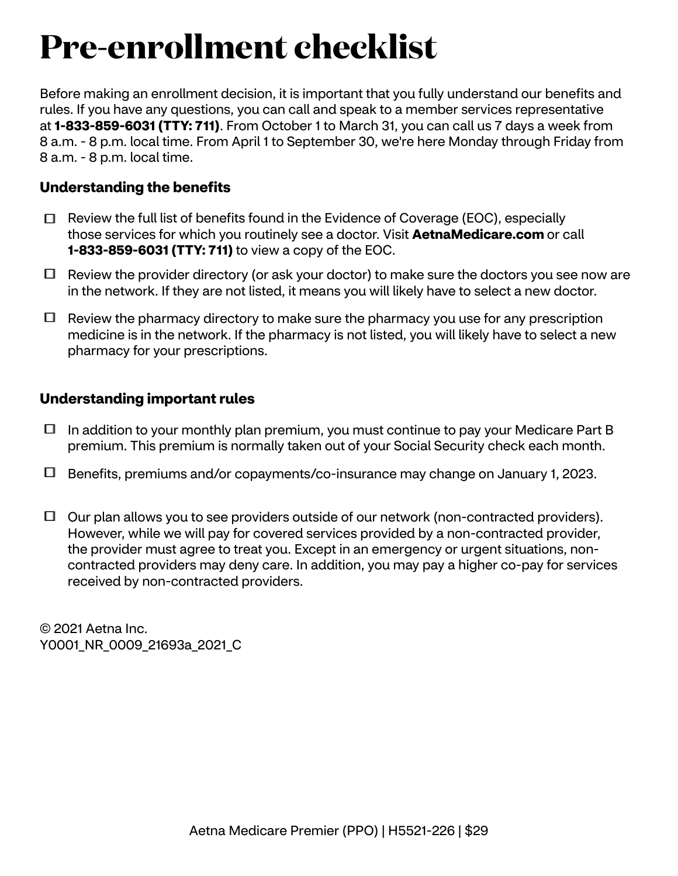# **Pre-enrollment checklist**

Before making an enrollment decision, it is important that you fully understand our benefits and rules. If you have any questions, you can call and speak to a member services representative at **1-833-859-6031 (TTY: 711)**. From October 1 to March 31, you can call us 7 days a week from 8 a.m. - 8 p.m. local time. From April 1 to September 30, we're here Monday through Friday from 8 a.m. - 8 p.m. local time.

## **Understanding the benefits**

- $\Box$  Review the full list of benefits found in the Evidence of Coverage (EOC), especially those services for which you routinely see a doctor. Visit **[AetnaMedicare.com](http://AetnaMedicare.com)** or call **1-833-859-6031 (TTY: 711)** to view a copy of the EOC.
- $\Box$  Review the provider directory (or ask your doctor) to make sure the doctors you see now are in the network. If they are not listed, it means you will likely have to select a new doctor.
- $\Box$  Review the pharmacy directory to make sure the pharmacy you use for any prescription medicine is in the network. If the pharmacy is not listed, you will likely have to select a new pharmacy for your prescriptions.

## **Understanding important rules**

- $\Box$  In addition to your monthly plan premium, you must continue to pay your Medicare Part B premium. This premium is normally taken out of your Social Security check each month.
- Benefits, premiums and/or copayments/co-insurance may change on January 1, 2023.
- $\Box$  Our plan allows you to see providers outside of our network (non-contracted providers). However, while we will pay for covered services provided by a non-contracted provider, the provider must agree to treat you. Except in an emergency or urgent situations, noncontracted providers may deny care. In addition, you may pay a higher co-pay for services received by non-contracted providers.

© 2021 Aetna Inc. Y0001 NR 0009 21693a 2021 C